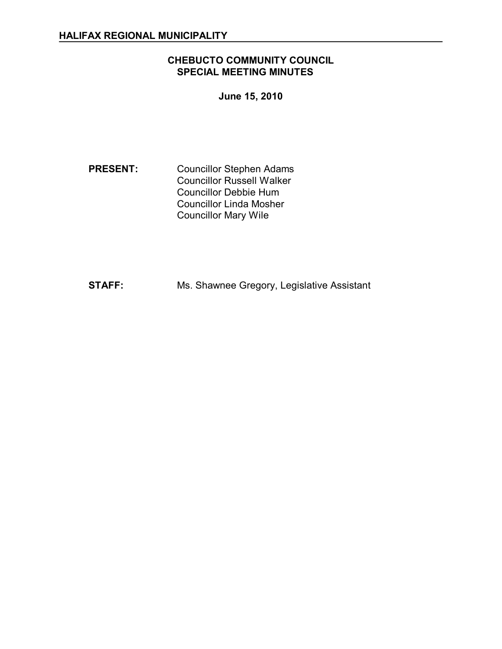# **CHEBUCTO COMMUNITY COUNCIL SPECIAL MEETING MINUTES**

**June 15, 2010** 

**PRESENT:** Councillor Stephen Adams Councillor Russell Walker Councillor Debbie Hum Councillor Linda Mosher Councillor Mary Wile

**STAFF:** Ms. Shawnee Gregory, Legislative Assistant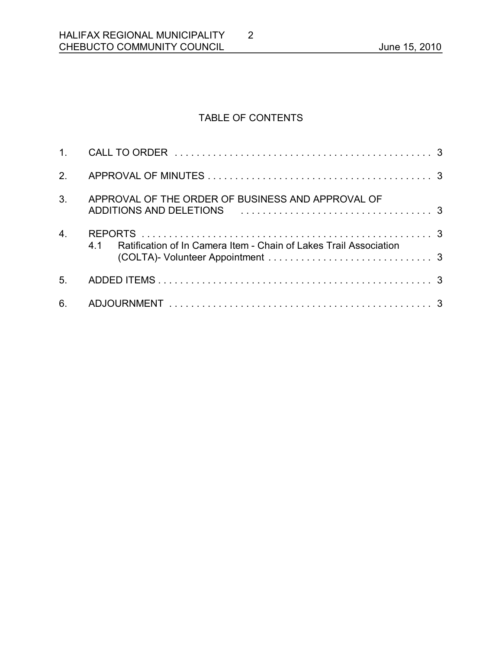# TABLE OF CONTENTS

2

| 1.               |                                                                                                                                                                    |  |
|------------------|--------------------------------------------------------------------------------------------------------------------------------------------------------------------|--|
| 2.               |                                                                                                                                                                    |  |
| 3 <sub>1</sub>   | APPROVAL OF THE ORDER OF BUSINESS AND APPROVAL OF<br>ADDITIONS AND DELETIONS ALL AND AN ANDREW AND ACCOUNT AND ACCOUNT AND ACCOUNT AND AN ANDREW AND AN ANDREW AND |  |
| $\overline{4}$ . | Ratification of In Camera Item - Chain of Lakes Trail Association<br>41                                                                                            |  |
| 5.               |                                                                                                                                                                    |  |
| 6.               |                                                                                                                                                                    |  |